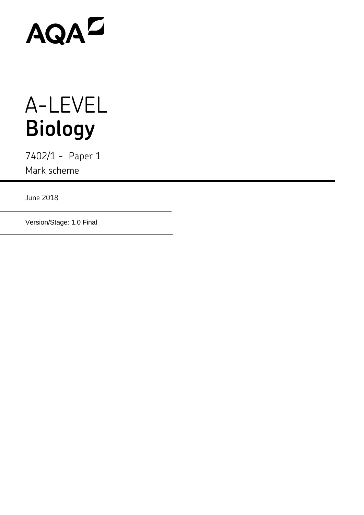

## A-LEVEL **Biology**

7402/1 - Paper 1 Mark scheme

June 2018

Version/Stage: 1.0 Final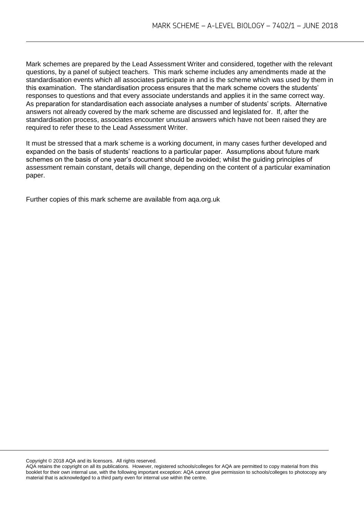Mark schemes are prepared by the Lead Assessment Writer and considered, together with the relevant questions, by a panel of subject teachers. This mark scheme includes any amendments made at the standardisation events which all associates participate in and is the scheme which was used by them in this examination. The standardisation process ensures that the mark scheme covers the students' responses to questions and that every associate understands and applies it in the same correct way. As preparation for standardisation each associate analyses a number of students' scripts. Alternative answers not already covered by the mark scheme are discussed and legislated for. If, after the standardisation process, associates encounter unusual answers which have not been raised they are required to refer these to the Lead Assessment Writer.

It must be stressed that a mark scheme is a working document, in many cases further developed and expanded on the basis of students' reactions to a particular paper. Assumptions about future mark schemes on the basis of one year's document should be avoided; whilst the guiding principles of assessment remain constant, details will change, depending on the content of a particular examination paper.

Further copies of this mark scheme are available from aqa.org.uk

Copyright © 2018 AQA and its licensors. All rights reserved.

AQA retains the copyright on all its publications. However, registered schools/colleges for AQA are permitted to copy material from this booklet for their own internal use, with the following important exception: AQA cannot give permission to schools/colleges to photocopy any material that is acknowledged to a third party even for internal use within the centre.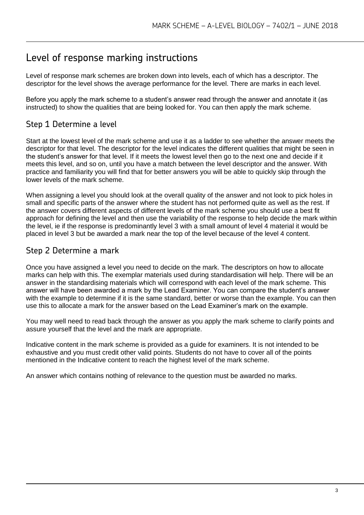## Level of response marking instructions

Level of response mark schemes are broken down into levels, each of which has a descriptor. The descriptor for the level shows the average performance for the level. There are marks in each level.

Before you apply the mark scheme to a student's answer read through the answer and annotate it (as instructed) to show the qualities that are being looked for. You can then apply the mark scheme.

## Step 1 Determine a level

Start at the lowest level of the mark scheme and use it as a ladder to see whether the answer meets the descriptor for that level. The descriptor for the level indicates the different qualities that might be seen in the student's answer for that level. If it meets the lowest level then go to the next one and decide if it meets this level, and so on, until you have a match between the level descriptor and the answer. With practice and familiarity you will find that for better answers you will be able to quickly skip through the lower levels of the mark scheme.

When assigning a level you should look at the overall quality of the answer and not look to pick holes in small and specific parts of the answer where the student has not performed quite as well as the rest. If the answer covers different aspects of different levels of the mark scheme you should use a best fit approach for defining the level and then use the variability of the response to help decide the mark within the level, ie if the response is predominantly level 3 with a small amount of level 4 material it would be placed in level 3 but be awarded a mark near the top of the level because of the level 4 content.

## Step 2 Determine a mark

Once you have assigned a level you need to decide on the mark. The descriptors on how to allocate marks can help with this. The exemplar materials used during standardisation will help. There will be an answer in the standardising materials which will correspond with each level of the mark scheme. This answer will have been awarded a mark by the Lead Examiner. You can compare the student's answer with the example to determine if it is the same standard, better or worse than the example. You can then use this to allocate a mark for the answer based on the Lead Examiner's mark on the example.

You may well need to read back through the answer as you apply the mark scheme to clarify points and assure yourself that the level and the mark are appropriate.

Indicative content in the mark scheme is provided as a guide for examiners. It is not intended to be exhaustive and you must credit other valid points. Students do not have to cover all of the points mentioned in the Indicative content to reach the highest level of the mark scheme.

An answer which contains nothing of relevance to the question must be awarded no marks.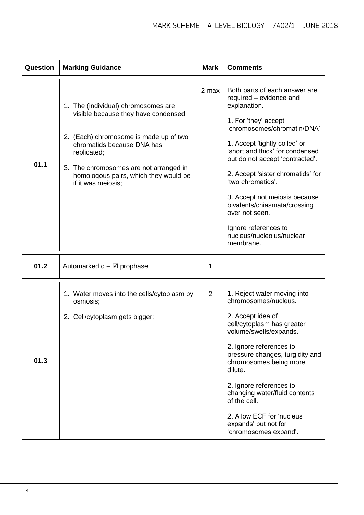| Question | <b>Marking Guidance</b>                                                                                                                                                                                                                                                     | <b>Mark</b>    | <b>Comments</b>                                                                                                                                                                                                                                                                                                                                                                                                                                       |
|----------|-----------------------------------------------------------------------------------------------------------------------------------------------------------------------------------------------------------------------------------------------------------------------------|----------------|-------------------------------------------------------------------------------------------------------------------------------------------------------------------------------------------------------------------------------------------------------------------------------------------------------------------------------------------------------------------------------------------------------------------------------------------------------|
| 01.1     | 1. The (individual) chromosomes are<br>visible because they have condensed;<br>2. (Each) chromosome is made up of two<br>chromatids because DNA has<br>replicated;<br>3. The chromosomes are not arranged in<br>homologous pairs, which they would be<br>if it was meiosis; | 2 max          | Both parts of each answer are<br>required - evidence and<br>explanation.<br>1. For 'they' accept<br>'chromosomes/chromatin/DNA'<br>1. Accept 'tightly coiled' or<br>'short and thick' for condensed<br>but do not accept 'contracted'.<br>2. Accept 'sister chromatids' for<br>'two chromatids'.<br>3. Accept not meiosis because<br>bivalents/chiasmata/crossing<br>over not seen.<br>Ignore references to<br>nucleus/nucleolus/nuclear<br>membrane. |
| 01.2     | Automarked $q - \boxtimes$ prophase                                                                                                                                                                                                                                         | 1              |                                                                                                                                                                                                                                                                                                                                                                                                                                                       |
| 01.3     | 1. Water moves into the cells/cytoplasm by<br>osmosis;<br>2. Cell/cytoplasm gets bigger;                                                                                                                                                                                    | $\overline{2}$ | 1. Reject water moving into<br>chromosomes/nucleus.<br>2. Accept idea of<br>cell/cytoplasm has greater<br>volume/swells/expands.<br>2. Ignore references to<br>pressure changes, turgidity and<br>chromosomes being more<br>dilute.<br>2. Ignore references to<br>changing water/fluid contents<br>of the cell.<br>2. Allow ECF for 'nucleus<br>expands' but not for<br>'chromosomes expand'.                                                         |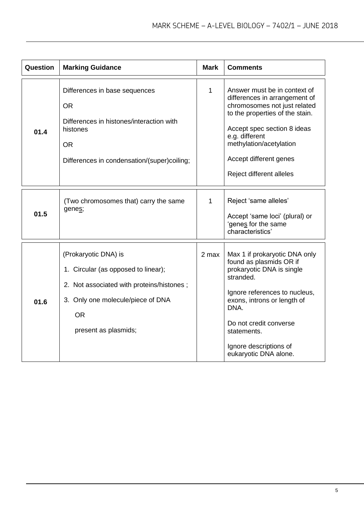| Question | <b>Marking Guidance</b>                                                                                                                                                            | <b>Mark</b>  | <b>Comments</b>                                                                                                                                                                                                                                                        |
|----------|------------------------------------------------------------------------------------------------------------------------------------------------------------------------------------|--------------|------------------------------------------------------------------------------------------------------------------------------------------------------------------------------------------------------------------------------------------------------------------------|
| 01.4     | Differences in base sequences<br><b>OR</b><br>Differences in histones/interaction with<br>histones<br><b>OR</b><br>Differences in condensation/(super)coiling;                     | $\mathbf{1}$ | Answer must be in context of<br>differences in arrangement of<br>chromosomes not just related<br>to the properties of the stain.<br>Accept spec section 8 ideas<br>e.g. different<br>methylation/acetylation<br>Accept different genes<br>Reject different alleles     |
| 01.5     | (Two chromosomes that) carry the same<br>genes;                                                                                                                                    | $\mathbf{1}$ | Reject 'same alleles'<br>Accept 'same loci' (plural) or<br>'genes for the same<br>characteristics'                                                                                                                                                                     |
| 01.6     | (Prokaryotic DNA) is<br>1. Circular (as opposed to linear);<br>2. Not associated with proteins/histones;<br>3. Only one molecule/piece of DNA<br><b>OR</b><br>present as plasmids; | 2 max        | Max 1 if prokaryotic DNA only<br>found as plasmids OR if<br>prokaryotic DNA is single<br>stranded.<br>Ignore references to nucleus,<br>exons, introns or length of<br>DNA.<br>Do not credit converse<br>statements.<br>Ignore descriptions of<br>eukaryotic DNA alone. |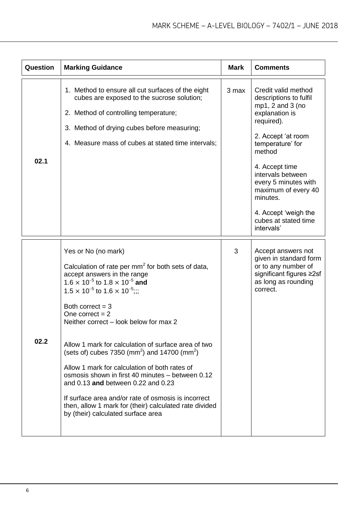| Question | <b>Marking Guidance</b>                                                                                                                                                                                                                                                                                                                                                                                                                                                                                                                                                                                                                                                                                                                            | <b>Mark</b> | <b>Comments</b>                                                                                                                                                                                                                                                                                                       |
|----------|----------------------------------------------------------------------------------------------------------------------------------------------------------------------------------------------------------------------------------------------------------------------------------------------------------------------------------------------------------------------------------------------------------------------------------------------------------------------------------------------------------------------------------------------------------------------------------------------------------------------------------------------------------------------------------------------------------------------------------------------------|-------------|-----------------------------------------------------------------------------------------------------------------------------------------------------------------------------------------------------------------------------------------------------------------------------------------------------------------------|
| 02.1     | 1. Method to ensure all cut surfaces of the eight<br>cubes are exposed to the sucrose solution;<br>2. Method of controlling temperature;<br>3. Method of drying cubes before measuring;<br>4. Measure mass of cubes at stated time intervals;                                                                                                                                                                                                                                                                                                                                                                                                                                                                                                      | 3 max       | Credit valid method<br>descriptions to fulfil<br>mp1, 2 and 3 (no<br>explanation is<br>required).<br>2. Accept 'at room<br>temperature' for<br>method<br>4. Accept time<br>intervals between<br>every 5 minutes with<br>maximum of every 40<br>minutes.<br>4. Accept 'weigh the<br>cubes at stated time<br>intervals' |
| 02.2     | Yes or No (no mark)<br>Calculation of rate per mm <sup>2</sup> for both sets of data,<br>accept answers in the range<br>$1.6 \times 10^{-5}$ to $1.8 \times 10^{-5}$ and<br>$1.5 \times 10^{-5}$ to $1.6 \times 10^{-5}$ ;;;<br>Both correct $=$ 3<br>One correct $= 2$<br>Neither correct – look below for max 2<br>Allow 1 mark for calculation of surface area of two<br>(sets of) cubes 7350 (mm <sup>2</sup> ) and 14700 (mm <sup>2</sup> )<br>Allow 1 mark for calculation of both rates of<br>osmosis shown in first 40 minutes – between 0.12<br>and 0.13 and between 0.22 and 0.23<br>If surface area and/or rate of osmosis is incorrect<br>then, allow 1 mark for (their) calculated rate divided<br>by (their) calculated surface area | 3           | Accept answers not<br>given in standard form<br>or to any number of<br>significant figures ≥2sf<br>as long as rounding<br>correct.                                                                                                                                                                                    |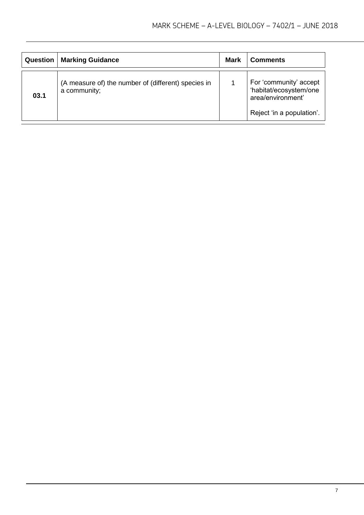| <b>Question</b> | <b>Marking Guidance</b>                                             | <b>Mark</b> | <b>Comments</b>                                                                                    |
|-----------------|---------------------------------------------------------------------|-------------|----------------------------------------------------------------------------------------------------|
| 03.1            | (A measure of) the number of (different) species in<br>a community; |             | For 'community' accept<br>'habitat/ecosystem/one<br>area/environment'<br>Reject 'in a population'. |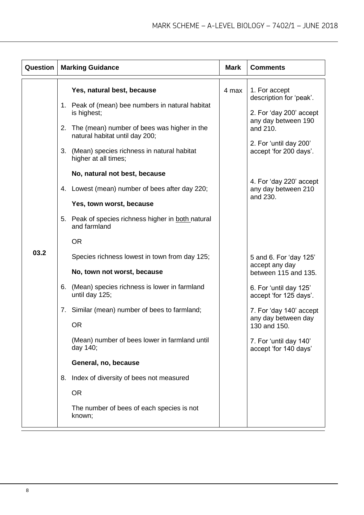| Question |    | <b>Marking Guidance</b>                                                       | <b>Mark</b>                                      | <b>Comments</b>                                                  |
|----------|----|-------------------------------------------------------------------------------|--------------------------------------------------|------------------------------------------------------------------|
|          |    | Yes, natural best, because                                                    | 4 max                                            | 1. For accept<br>description for 'peak'.                         |
|          |    | 1. Peak of (mean) bee numbers in natural habitat<br>is highest;               |                                                  | 2. For 'day 200' accept<br>any day between 190                   |
|          | 2. | The (mean) number of bees was higher in the<br>natural habitat until day 200; |                                                  | and 210.                                                         |
|          |    | 3.<br>(Mean) species richness in natural habitat<br>higher at all times;      | 2. For 'until day 200'<br>accept 'for 200 days'. |                                                                  |
|          |    | No, natural not best, because                                                 |                                                  |                                                                  |
|          | 4. | Lowest (mean) number of bees after day 220;                                   |                                                  | 4. For 'day 220' accept<br>any day between 210<br>and 230.       |
|          |    | Yes, town worst, because                                                      |                                                  |                                                                  |
|          |    | 5. Peak of species richness higher in both natural<br>and farmland            |                                                  |                                                                  |
|          |    | <b>OR</b>                                                                     |                                                  |                                                                  |
| 03.2     |    | Species richness lowest in town from day 125;                                 |                                                  | 5 and 6. For 'day 125'<br>accept any day<br>between 115 and 135. |
|          |    | No, town not worst, because                                                   |                                                  |                                                                  |
|          | 6. | (Mean) species richness is lower in farmland<br>until day 125;                |                                                  | 6. For 'until day 125'<br>accept 'for 125 days'.                 |
|          |    | 7. Similar (mean) number of bees to farmland;                                 |                                                  | 7. For 'day 140' accept<br>any day between day                   |
|          |    | <b>OR</b>                                                                     |                                                  | 130 and 150.                                                     |
|          |    | (Mean) number of bees lower in farmland until<br>day 140;                     |                                                  | 7. For 'until day 140'<br>accept 'for 140 days'                  |
|          |    | General, no, because                                                          |                                                  |                                                                  |
|          | 8. | Index of diversity of bees not measured                                       |                                                  |                                                                  |
|          |    | <b>OR</b>                                                                     |                                                  |                                                                  |
|          |    | The number of bees of each species is not<br>known;                           |                                                  |                                                                  |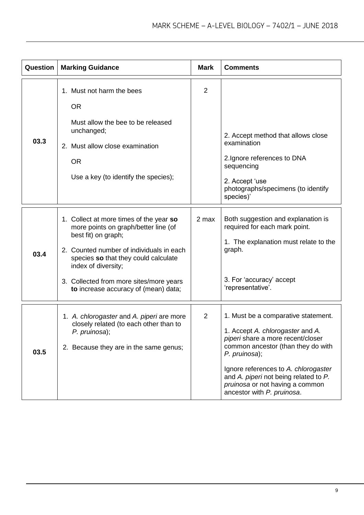| Question | <b>Marking Guidance</b>                                                                                                                                                                                                                                                                              | <b>Mark</b>    | <b>Comments</b>                                                                                                                                                                                                                                                                                                       |
|----------|------------------------------------------------------------------------------------------------------------------------------------------------------------------------------------------------------------------------------------------------------------------------------------------------------|----------------|-----------------------------------------------------------------------------------------------------------------------------------------------------------------------------------------------------------------------------------------------------------------------------------------------------------------------|
| 03.3     | 1. Must not harm the bees<br><b>OR</b><br>Must allow the bee to be released<br>unchanged;<br>2. Must allow close examination<br><b>OR</b><br>Use a key (to identify the species);                                                                                                                    | $\overline{2}$ | 2. Accept method that allows close<br>examination<br>2. Ignore references to DNA<br>sequencing<br>2. Accept 'use<br>photographs/specimens (to identify<br>species)'                                                                                                                                                   |
| 03.4     | 1. Collect at more times of the year so<br>more points on graph/better line (of<br>best fit) on graph;<br>2. Counted number of individuals in each<br>species so that they could calculate<br>index of diversity;<br>3. Collected from more sites/more years<br>to increase accuracy of (mean) data; | 2 max          | Both suggestion and explanation is<br>required for each mark point.<br>1. The explanation must relate to the<br>graph.<br>3. For 'accuracy' accept<br>'representative'.                                                                                                                                               |
| 03.5     | 1. A. chlorogaster and A. piperi are more<br>closely related (to each other than to<br>P. pruinosa);<br>2. Because they are in the same genus;                                                                                                                                                       | $\overline{2}$ | 1. Must be a comparative statement.<br>1. Accept A. chlorogaster and A.<br>piperi share a more recent/closer<br>common ancestor (than they do with<br>P. pruinosa);<br>Ignore references to A. chlorogaster<br>and A. piperi not being related to P.<br>pruinosa or not having a common<br>ancestor with P. pruinosa. |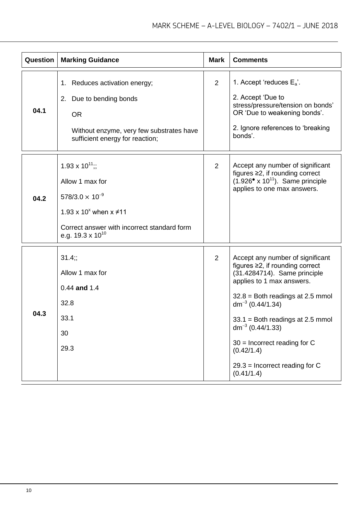| Question | <b>Marking Guidance</b>                                                                                                                                                                  | <b>Mark</b>    | <b>Comments</b>                                                                                                                                                                                                                                                                                                                                                               |
|----------|------------------------------------------------------------------------------------------------------------------------------------------------------------------------------------------|----------------|-------------------------------------------------------------------------------------------------------------------------------------------------------------------------------------------------------------------------------------------------------------------------------------------------------------------------------------------------------------------------------|
| 04.1     | 1. Reduces activation energy;<br>2. Due to bending bonds<br><b>OR</b><br>Without enzyme, very few substrates have<br>sufficient energy for reaction;                                     | 2              | 1. Accept 'reduces $E_a$ '.<br>2. Accept 'Due to<br>stress/pressure/tension on bonds'<br>OR 'Due to weakening bonds'.<br>2. Ignore references to 'breaking<br>bonds'.                                                                                                                                                                                                         |
| 04.2     | $1.93 \times 10^{11}$ .<br>Allow 1 max for<br>$578/3.0 \times 10^{-9}$<br>1.93 x 10 <sup>x</sup> when $x \ne 11$<br>Correct answer with incorrect standard form<br>e.g. 19.3 x $10^{10}$ | 2              | Accept any number of significant<br>figures $\geq$ 2, if rounding correct<br>$(1.926° \times 10^{11})$ . Same principle<br>applies to one max answers.                                                                                                                                                                                                                        |
| 04.3     | 31.4;<br>Allow 1 max for<br>$0.44$ and 1.4<br>32.8<br>33.1<br>30<br>29.3                                                                                                                 | $\overline{2}$ | Accept any number of significant<br>figures $\geq$ 2, if rounding correct<br>(31.4284714). Same principle<br>applies to 1 max answers.<br>$32.8 =$ Both readings at 2.5 mmol<br>dm <sup>-3</sup> (0.44/1.34)<br>$33.1$ = Both readings at 2.5 mmol<br>$dm^{-3}$ (0.44/1.33)<br>$30$ = Incorrect reading for C<br>(0.42/1.4)<br>$29.3$ = Incorrect reading for C<br>(0.41/1.4) |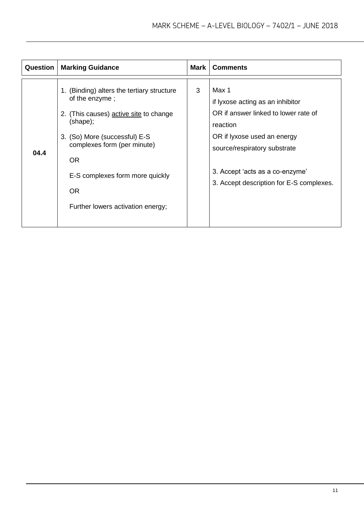| Question | <b>Marking Guidance</b>                                                                                                                                                                                                                                                              | Mark | <b>Comments</b>                                                                                                                                                                                                                             |
|----------|--------------------------------------------------------------------------------------------------------------------------------------------------------------------------------------------------------------------------------------------------------------------------------------|------|---------------------------------------------------------------------------------------------------------------------------------------------------------------------------------------------------------------------------------------------|
| 04.4     | 1. (Binding) alters the tertiary structure<br>of the enzyme;<br>2. (This causes) active site to change<br>(shape);<br>3. (So) More (successful) E-S<br>complexes form (per minute)<br><b>OR</b><br>E-S complexes form more quickly<br><b>OR</b><br>Further lowers activation energy; | 3    | Max 1<br>if lyxose acting as an inhibitor<br>OR if answer linked to lower rate of<br>reaction<br>OR if lyxose used an energy<br>source/respiratory substrate<br>3. Accept 'acts as a co-enzyme'<br>3. Accept description for E-S complexes. |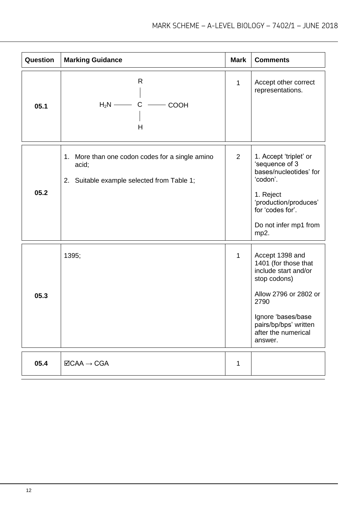| Question | <b>Marking Guidance</b>                                                                                | <b>Mark</b>  | <b>Comments</b>                                                                                                                                                                                   |
|----------|--------------------------------------------------------------------------------------------------------|--------------|---------------------------------------------------------------------------------------------------------------------------------------------------------------------------------------------------|
| 05.1     | R<br>$H_2N$ - C<br>$\overline{\phantom{0}}$ COOH<br>H                                                  | $\mathbf{1}$ | Accept other correct<br>representations.                                                                                                                                                          |
| 05.2     | 1. More than one codon codes for a single amino<br>acid;<br>2. Suitable example selected from Table 1; | 2            | 1. Accept 'triplet' or<br>'sequence of 3<br>bases/nucleotides' for<br>'codon'.<br>1. Reject<br>'production/produces'<br>for 'codes for'.<br>Do not infer mp1 from<br>mp2.                         |
| 05.3     | 1395;                                                                                                  | $\mathbf{1}$ | Accept 1398 and<br>1401 (for those that<br>include start and/or<br>stop codons)<br>Allow 2796 or 2802 or<br>2790<br>Ignore 'bases/base<br>pairs/bp/bps' written<br>after the numerical<br>answer. |
| 05.4     | $\Box$ CAA $\rightarrow$ CGA                                                                           | 1            |                                                                                                                                                                                                   |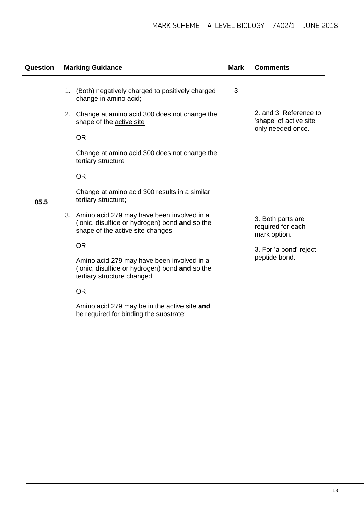| Question | <b>Marking Guidance</b>                                                                                                                                                                                                                                                                                                                                                                                                                                                                                                                                                                                                                                                                                                      | <b>Mark</b> | <b>Comments</b>                                                                                                                                                            |
|----------|------------------------------------------------------------------------------------------------------------------------------------------------------------------------------------------------------------------------------------------------------------------------------------------------------------------------------------------------------------------------------------------------------------------------------------------------------------------------------------------------------------------------------------------------------------------------------------------------------------------------------------------------------------------------------------------------------------------------------|-------------|----------------------------------------------------------------------------------------------------------------------------------------------------------------------------|
| 05.5     | 1. (Both) negatively charged to positively charged<br>change in amino acid;<br>2. Change at amino acid 300 does not change the<br>shape of the active site<br><b>OR</b><br>Change at amino acid 300 does not change the<br>tertiary structure<br><b>OR</b><br>Change at amino acid 300 results in a similar<br>tertiary structure;<br>3. Amino acid 279 may have been involved in a<br>(ionic, disulfide or hydrogen) bond and so the<br>shape of the active site changes<br><b>OR</b><br>Amino acid 279 may have been involved in a<br>(ionic, disulfide or hydrogen) bond and so the<br>tertiary structure changed;<br><b>OR</b><br>Amino acid 279 may be in the active site and<br>be required for binding the substrate; | 3           | 2. and 3. Reference to<br>'shape' of active site<br>only needed once.<br>3. Both parts are<br>required for each<br>mark option.<br>3. For 'a bond' reject<br>peptide bond. |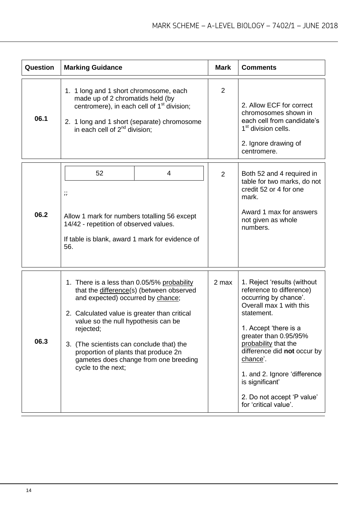| Question | <b>Marking Guidance</b>                                                                                                                                                                                                                                                                                                                                                              | <b>Mark</b> | <b>Comments</b>                                                                                                                                                                                                                                                                                                                                          |
|----------|--------------------------------------------------------------------------------------------------------------------------------------------------------------------------------------------------------------------------------------------------------------------------------------------------------------------------------------------------------------------------------------|-------------|----------------------------------------------------------------------------------------------------------------------------------------------------------------------------------------------------------------------------------------------------------------------------------------------------------------------------------------------------------|
| 06.1     | 1. 1 long and 1 short chromosome, each<br>made up of 2 chromatids held (by<br>centromere), in each cell of 1 <sup>st</sup> division;<br>2. 1 long and 1 short (separate) chromosome<br>in each cell of $2^{nd}$ division;                                                                                                                                                            | 2           | 2. Allow ECF for correct<br>chromosomes shown in<br>each cell from candidate's<br>1 <sup>st</sup> division cells.<br>2. Ignore drawing of<br>centromere.                                                                                                                                                                                                 |
| 06.2     | 52<br>4<br>$\dddot{ }$<br>Allow 1 mark for numbers totalling 56 except<br>14/42 - repetition of observed values.<br>If table is blank, award 1 mark for evidence of<br>56.                                                                                                                                                                                                           | 2           | Both 52 and 4 required in<br>table for two marks, do not<br>credit 52 or 4 for one<br>mark.<br>Award 1 max for answers<br>not given as whole<br>numbers.                                                                                                                                                                                                 |
| 06.3     | 1. There is a less than 0.05/5% probability<br>that the difference(s) (between observed<br>and expected) occurred by chance;<br>2. Calculated value is greater than critical<br>value so the null hypothesis can be<br>rejected;<br>3. (The scientists can conclude that) the<br>proportion of plants that produce 2n<br>gametes does change from one breeding<br>cycle to the next; | 2 max       | 1. Reject 'results (without<br>reference to difference)<br>occurring by chance'.<br>Overall max 1 with this<br>statement.<br>1. Accept 'there is a<br>greater than 0.95/95%<br>probability that the<br>difference did not occur by<br>chance'.<br>1. and 2. Ignore 'difference<br>is significant'<br>2. Do not accept 'P value'<br>for 'critical value'. |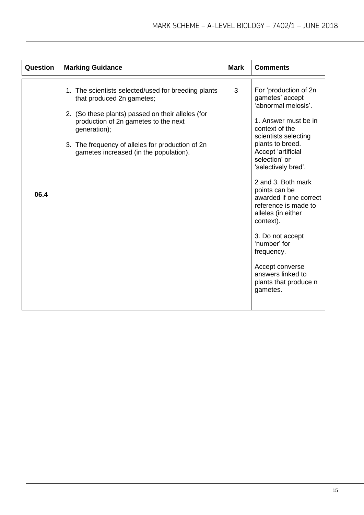| Question | <b>Marking Guidance</b>                                                                                                                                                                                                                                                                     | <b>Mark</b> | <b>Comments</b>                                                                                                                                                                                                                                                                                                                                                                                                                                                                |
|----------|---------------------------------------------------------------------------------------------------------------------------------------------------------------------------------------------------------------------------------------------------------------------------------------------|-------------|--------------------------------------------------------------------------------------------------------------------------------------------------------------------------------------------------------------------------------------------------------------------------------------------------------------------------------------------------------------------------------------------------------------------------------------------------------------------------------|
| 06.4     | 1. The scientists selected/used for breeding plants<br>that produced 2n gametes;<br>2. (So these plants) passed on their alleles (for<br>production of 2n gametes to the next<br>generation);<br>3. The frequency of alleles for production of 2n<br>gametes increased (in the population). | 3           | For 'production of 2n<br>gametes' accept<br>'abnormal meiosis'.<br>1. Answer must be in<br>context of the<br>scientists selecting<br>plants to breed.<br>Accept 'artificial<br>selection' or<br>'selectively bred'.<br>2 and 3. Both mark<br>points can be<br>awarded if one correct<br>reference is made to<br>alleles (in either<br>context).<br>3. Do not accept<br>'number' for<br>frequency.<br>Accept converse<br>answers linked to<br>plants that produce n<br>gametes. |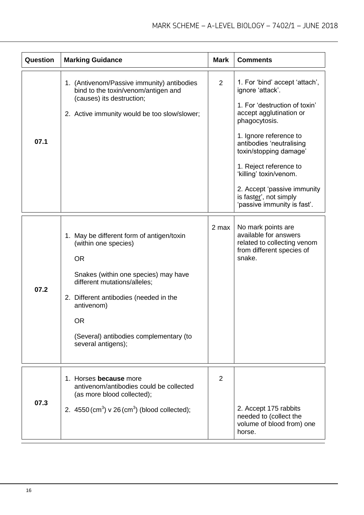| Question | <b>Marking Guidance</b>                                                                                                                                                                                                                                                                     | <b>Mark</b>    | <b>Comments</b>                                                                                                                                                                                                                                                                                                                                             |
|----------|---------------------------------------------------------------------------------------------------------------------------------------------------------------------------------------------------------------------------------------------------------------------------------------------|----------------|-------------------------------------------------------------------------------------------------------------------------------------------------------------------------------------------------------------------------------------------------------------------------------------------------------------------------------------------------------------|
| 07.1     | 1. (Antivenom/Passive immunity) antibodies<br>bind to the toxin/venom/antigen and<br>(causes) its destruction;<br>2. Active immunity would be too slow/slower;                                                                                                                              | $\overline{2}$ | 1. For 'bind' accept 'attach',<br>ignore 'attack'.<br>1. For 'destruction of toxin'<br>accept agglutination or<br>phagocytosis.<br>1. Ignore reference to<br>antibodies 'neutralising<br>toxin/stopping damage'<br>1. Reject reference to<br>'killing' toxin/venom.<br>2. Accept 'passive immunity<br>is faster', not simply<br>'passive immunity is fast'. |
| 07.2     | 1. May be different form of antigen/toxin<br>(within one species)<br><b>OR</b><br>Snakes (within one species) may have<br>different mutations/alleles;<br>2. Different antibodies (needed in the<br>antivenom)<br><b>OR</b><br>(Several) antibodies complementary (to<br>several antigens); | 2 max          | No mark points are<br>available for answers<br>related to collecting venom<br>from different species of<br>snake.                                                                                                                                                                                                                                           |
| 07.3     | 1. Horses because more<br>antivenom/antibodies could be collected<br>(as more blood collected);<br>2. $4550 \, \text{(cm}^3) \, \text{v} \, 26 \, \text{(cm}^3)$ (blood collected);                                                                                                         | $\overline{2}$ | 2. Accept 175 rabbits<br>needed to (collect the<br>volume of blood from) one<br>horse.                                                                                                                                                                                                                                                                      |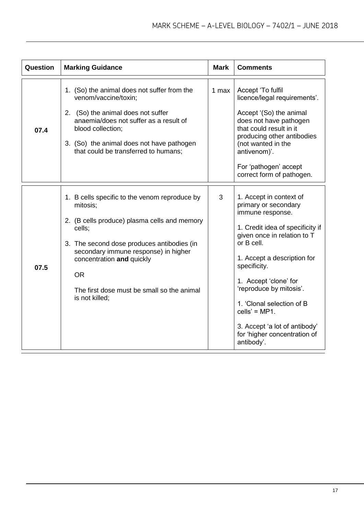| Question | <b>Marking Guidance</b>                                                                                                                                                                                                                                                                                             | <b>Mark</b> | <b>Comments</b>                                                                                                                                                                                                                                                                                                                                                                        |  |  |
|----------|---------------------------------------------------------------------------------------------------------------------------------------------------------------------------------------------------------------------------------------------------------------------------------------------------------------------|-------------|----------------------------------------------------------------------------------------------------------------------------------------------------------------------------------------------------------------------------------------------------------------------------------------------------------------------------------------------------------------------------------------|--|--|
| 07.4     | 1. (So) the animal does not suffer from the<br>venom/vaccine/toxin;<br>2. (So) the animal does not suffer<br>anaemia/does not suffer as a result of<br>blood collection;<br>3. (So) the animal does not have pathogen<br>that could be transferred to humans;                                                       | 1 max       | Accept 'To fulfil<br>licence/legal requirements'.<br>Accept '(So) the animal<br>does not have pathogen<br>that could result in it<br>producing other antibodies<br>(not wanted in the<br>antivenom)'.<br>For 'pathogen' accept<br>correct form of pathogen.                                                                                                                            |  |  |
| 07.5     | 1. B cells specific to the venom reproduce by<br>mitosis;<br>2. (B cells produce) plasma cells and memory<br>cells;<br>3. The second dose produces antibodies (in<br>secondary immune response) in higher<br>concentration and quickly<br><b>OR</b><br>The first dose must be small so the animal<br>is not killed; | 3           | 1. Accept in context of<br>primary or secondary<br>immune response.<br>1. Credit idea of specificity if<br>given once in relation to T<br>or B cell.<br>1. Accept a description for<br>specificity.<br>1. Accept 'clone' for<br>'reproduce by mitosis'.<br>1. 'Clonal selection of B<br>$cells' = MP1.$<br>3. Accept 'a lot of antibody'<br>for 'higher concentration of<br>antibody'. |  |  |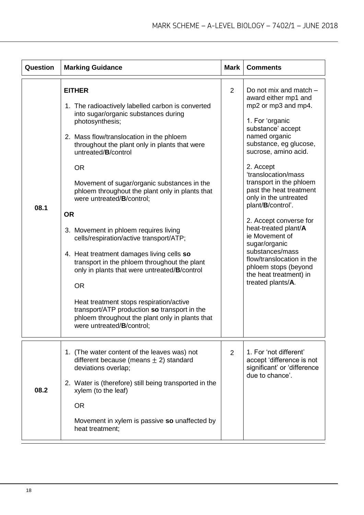| Question | <b>Marking Guidance</b>                                                                                                                                                                                                                                                                                                                                                                                                                                                                                                                                                                                                                                                                                                                                                                                                             | Mark           | <b>Comments</b>                                                                                                                                                                                                                                                                                                                                                                                                                                                                                                                      |
|----------|-------------------------------------------------------------------------------------------------------------------------------------------------------------------------------------------------------------------------------------------------------------------------------------------------------------------------------------------------------------------------------------------------------------------------------------------------------------------------------------------------------------------------------------------------------------------------------------------------------------------------------------------------------------------------------------------------------------------------------------------------------------------------------------------------------------------------------------|----------------|--------------------------------------------------------------------------------------------------------------------------------------------------------------------------------------------------------------------------------------------------------------------------------------------------------------------------------------------------------------------------------------------------------------------------------------------------------------------------------------------------------------------------------------|
| 08.1     | <b>EITHER</b><br>1. The radioactively labelled carbon is converted<br>into sugar/organic substances during<br>photosynthesis;<br>2. Mass flow/translocation in the phloem<br>throughout the plant only in plants that were<br>untreated/B/control<br><b>OR</b><br>Movement of sugar/organic substances in the<br>phloem throughout the plant only in plants that<br>were untreated/B/control;<br><b>OR</b><br>3. Movement in phloem requires living<br>cells/respiration/active transport/ATP;<br>4. Heat treatment damages living cells so<br>transport in the phloem throughout the plant<br>only in plants that were untreated/B/control<br><b>OR</b><br>Heat treatment stops respiration/active<br>transport/ATP production so transport in the<br>phloem throughout the plant only in plants that<br>were untreated/B/control; | $\overline{2}$ | Do not mix and match -<br>award either mp1 and<br>mp2 or mp3 and mp4.<br>1. For 'organic<br>substance' accept<br>named organic<br>substance, eg glucose,<br>sucrose, amino acid.<br>2. Accept<br>'translocation/mass<br>transport in the phloem<br>past the heat treatment<br>only in the untreated<br>plant/B/control'.<br>2. Accept converse for<br>heat-treated plant/A<br>ie Movement of<br>sugar/organic<br>substances/mass<br>flow/translocation in the<br>phloem stops (beyond<br>the heat treatment) in<br>treated plants/A. |
| 08.2     | 1. (The water content of the leaves was) not<br>different because (means $\pm$ 2) standard<br>deviations overlap;<br>2. Water is (therefore) still being transported in the<br>xylem (to the leaf)<br><b>OR</b><br>Movement in xylem is passive so unaffected by<br>heat treatment;                                                                                                                                                                                                                                                                                                                                                                                                                                                                                                                                                 | 2              | 1. For 'not different'<br>accept 'difference is not<br>significant' or 'difference<br>due to chance'.                                                                                                                                                                                                                                                                                                                                                                                                                                |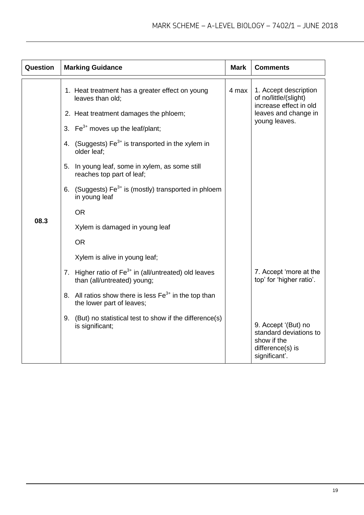| Question | <b>Marking Guidance</b>                                                                                                                                                                                                                                                                                                                                                                                   | <b>Mark</b> | <b>Comments</b>                                                                                                                                         |
|----------|-----------------------------------------------------------------------------------------------------------------------------------------------------------------------------------------------------------------------------------------------------------------------------------------------------------------------------------------------------------------------------------------------------------|-------------|---------------------------------------------------------------------------------------------------------------------------------------------------------|
| 08.3     | 1. Heat treatment has a greater effect on young<br>leaves than old;<br>2. Heat treatment damages the phloem;<br>3. Fe <sup>3+</sup> moves up the leaf/plant;<br>4. (Suggests) $Fe3+$ is transported in the xylem in<br>older leaf;<br>5. In young leaf, some in xylem, as some still<br>reaches top part of leaf;<br>6. (Suggests) $Fe3+$ is (mostly) transported in phloem<br>in young leaf<br><b>OR</b> | 4 max       | 1. Accept description<br>of no/little/(slight)<br>increase effect in old<br>leaves and change in<br>young leaves.                                       |
|          | Xylem is damaged in young leaf<br><b>OR</b><br>Xylem is alive in young leaf;<br>7. Higher ratio of $Fe3+$ in (all/untreated) old leaves<br>than (all/untreated) young;<br>8. All ratios show there is less Fe <sup>3+</sup> in the top than<br>the lower part of leaves;<br>9. (But) no statistical test to show if the difference(s)<br>is significant;                                                  |             | 7. Accept 'more at the<br>top' for 'higher ratio'.<br>9. Accept '(But) no<br>standard deviations to<br>show if the<br>difference(s) is<br>significant'. |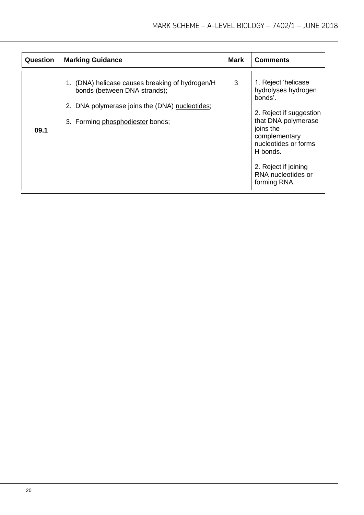| Question | <b>Marking Guidance</b>                                                                                                                                            | Mark | <b>Comments</b>                                                                                                                                                                                                                         |
|----------|--------------------------------------------------------------------------------------------------------------------------------------------------------------------|------|-----------------------------------------------------------------------------------------------------------------------------------------------------------------------------------------------------------------------------------------|
| 09.1     | (DNA) helicase causes breaking of hydrogen/H<br>bonds (between DNA strands);<br>2. DNA polymerase joins the (DNA) nucleotides;<br>3. Forming phosphodiester bonds; | 3    | 1. Reject 'helicase<br>hydrolyses hydrogen<br>bonds'.<br>2. Reject if suggestion<br>that DNA polymerase<br>joins the<br>complementary<br>nucleotides or forms<br>H bonds.<br>2. Reject if joining<br>RNA nucleotides or<br>forming RNA. |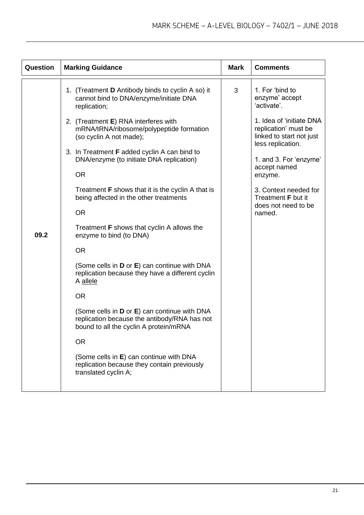| Question | <b>Marking Guidance</b>                                                                                                                | <b>Mark</b> | <b>Comments</b>                                                                                   |
|----------|----------------------------------------------------------------------------------------------------------------------------------------|-------------|---------------------------------------------------------------------------------------------------|
|          | 1. (Treatment <b>D</b> Antibody binds to cyclin A so) it<br>cannot bind to DNA/enzyme/initiate DNA<br>replication;                     | 3           | 1. For 'bind to<br>enzyme' accept<br>'activate'.                                                  |
|          | 2. (Treatment E) RNA interferes with<br>mRNA/tRNA/ribosome/polypeptide formation<br>(so cyclin A not made);                            |             | 1. Idea of 'initiate DNA<br>replication' must be<br>linked to start not just<br>less replication. |
|          | 3. In Treatment <b>F</b> added cyclin A can bind to<br>DNA/enzyme (to initiate DNA replication)<br><b>OR</b>                           |             | 1. and 3. For 'enzyme'<br>accept named                                                            |
|          |                                                                                                                                        |             | enzyme.                                                                                           |
|          | Treatment <b>F</b> shows that it is the cyclin A that is<br>being affected in the other treatments                                     |             | 3. Context needed for<br>Treatment <b>F</b> but it<br>does not need to be<br>named.               |
|          | <b>OR</b>                                                                                                                              |             |                                                                                                   |
| 09.2     | Treatment F shows that cyclin A allows the<br>enzyme to bind (to DNA)                                                                  |             |                                                                                                   |
|          | <b>OR</b>                                                                                                                              |             |                                                                                                   |
|          | (Some cells in <b>D</b> or <b>E</b> ) can continue with DNA<br>replication because they have a different cyclin<br>A allele            |             |                                                                                                   |
|          | <b>OR</b>                                                                                                                              |             |                                                                                                   |
|          | (Some cells in D or E) can continue with DNA<br>replication because the antibody/RNA has not<br>bound to all the cyclin A protein/mRNA |             |                                                                                                   |
|          | <b>OR</b>                                                                                                                              |             |                                                                                                   |
|          | (Some cells in E) can continue with DNA<br>replication because they contain previously<br>translated cyclin A;                         |             |                                                                                                   |
|          |                                                                                                                                        |             |                                                                                                   |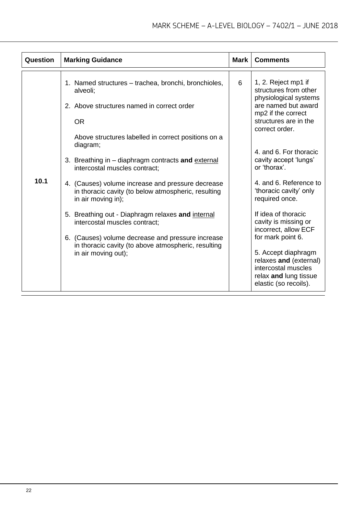| Question | <b>Marking Guidance</b>                                                                                                                                                                                                                                                                                                                                                                                                                                                                                                                                                                                                                          | Mark | <b>Comments</b>                                                                                                                                                                                                                                                                                                                                                                                                                                                                                                              |
|----------|--------------------------------------------------------------------------------------------------------------------------------------------------------------------------------------------------------------------------------------------------------------------------------------------------------------------------------------------------------------------------------------------------------------------------------------------------------------------------------------------------------------------------------------------------------------------------------------------------------------------------------------------------|------|------------------------------------------------------------------------------------------------------------------------------------------------------------------------------------------------------------------------------------------------------------------------------------------------------------------------------------------------------------------------------------------------------------------------------------------------------------------------------------------------------------------------------|
| 10.1     | 1. Named structures – trachea, bronchi, bronchioles,<br>alveoli;<br>2. Above structures named in correct order<br><b>OR</b><br>Above structures labelled in correct positions on a<br>diagram;<br>3. Breathing in – diaphragm contracts and external<br>intercostal muscles contract:<br>4. (Causes) volume increase and pressure decrease<br>in thoracic cavity (to below atmospheric, resulting<br>in air moving in);<br>5. Breathing out - Diaphragm relaxes and internal<br>intercostal muscles contract:<br>6. (Causes) volume decrease and pressure increase<br>in thoracic cavity (to above atmospheric, resulting<br>in air moving out); | 6    | 1, 2. Reject mp1 if<br>structures from other<br>physiological systems<br>are named but award<br>mp2 if the correct<br>structures are in the<br>correct order.<br>4. and 6. For thoracic<br>cavity accept 'lungs'<br>or 'thorax'.<br>4. and 6. Reference to<br>'thoracic cavity' only<br>required once.<br>If idea of thoracic<br>cavity is missing or<br>incorrect, allow ECF<br>for mark point 6.<br>5. Accept diaphragm<br>relaxes and (external)<br>intercostal muscles<br>relax and lung tissue<br>elastic (so recoils). |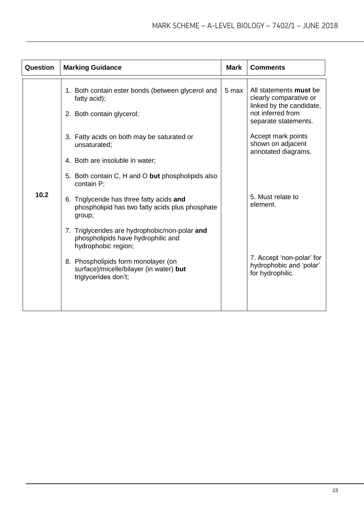| Question | <b>Marking Guidance</b>                                                                                                                      | <b>Mark</b> | <b>Comments</b>                                                                                                                                 |
|----------|----------------------------------------------------------------------------------------------------------------------------------------------|-------------|-------------------------------------------------------------------------------------------------------------------------------------------------|
| 10.2     | 1. Both contain ester bonds (between glycerol and<br>fatty acid);<br>2. Both contain glycerol;<br>3. Fatty acids on both may be saturated or | 5 max       | All statements must be<br>clearly comparative or<br>linked by the candidate,<br>not inferred from<br>separate statements.<br>Accept mark points |
|          | unsaturated;<br>4. Both are insoluble in water;                                                                                              |             | shown on adjacent<br>annotated diagrams.                                                                                                        |
|          | 5. Both contain C, H and O but phospholipids also<br>contain P;                                                                              |             |                                                                                                                                                 |
|          | 6. Triglyceride has three fatty acids and<br>phospholipid has two fatty acids plus phosphate<br>group;                                       |             | 5. Must relate to<br>element.                                                                                                                   |
|          | 7. Triglycerides are hydrophobic/non-polar and<br>phospholipids have hydrophilic and<br>hydrophobic region;                                  |             |                                                                                                                                                 |
|          | 8. Phospholipids form monolayer (on<br>surface)/micelle/bilayer (in water) but<br>triglycerides don't;                                       |             | 7. Accept 'non-polar' for<br>hydrophobic and 'polar'<br>for hydrophilic.                                                                        |
|          |                                                                                                                                              |             |                                                                                                                                                 |